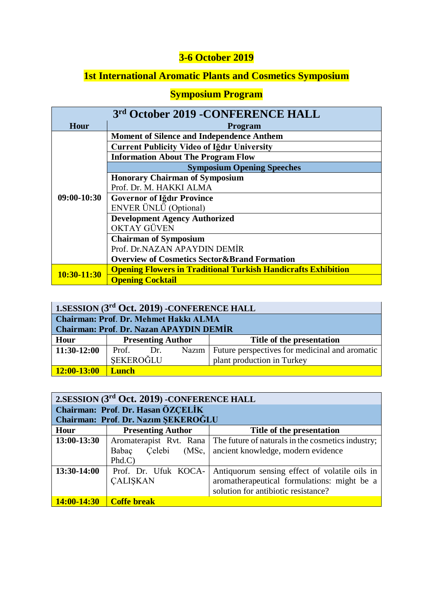## **3-6 October 2019**

## **1st International Aromatic Plants and Cosmetics Symposium**

## **Symposium Program**

| 3rd October 2019 - CONFERENCE HALL |                                                                      |  |  |  |  |  |
|------------------------------------|----------------------------------------------------------------------|--|--|--|--|--|
| Hour                               | <b>Program</b>                                                       |  |  |  |  |  |
|                                    | <b>Moment of Silence and Independence Anthem</b>                     |  |  |  |  |  |
|                                    | <b>Current Publicity Video of Iğdır University</b>                   |  |  |  |  |  |
|                                    | <b>Information About The Program Flow</b>                            |  |  |  |  |  |
|                                    | <b>Symposium Opening Speeches</b>                                    |  |  |  |  |  |
|                                    | <b>Honorary Chairman of Symposium</b>                                |  |  |  |  |  |
|                                    | Prof. Dr. M. HAKKI ALMA                                              |  |  |  |  |  |
| $09:00-10:30$                      | <b>Governor of Iğdır Province</b>                                    |  |  |  |  |  |
|                                    | ENVER ÜNLÜ (Optional)                                                |  |  |  |  |  |
|                                    | <b>Development Agency Authorized</b>                                 |  |  |  |  |  |
|                                    | <b>OKTAY GÜVEN</b>                                                   |  |  |  |  |  |
|                                    | <b>Chairman of Symposium</b>                                         |  |  |  |  |  |
|                                    | Prof. Dr.NAZAN APAYDIN DEMİR                                         |  |  |  |  |  |
|                                    | <b>Overview of Cosmetics Sector &amp; Brand Formation</b>            |  |  |  |  |  |
| 10:30-11:30                        | <b>Opening Flowers in Traditional Turkish Handicrafts Exhibition</b> |  |  |  |  |  |
|                                    | <b>Opening Cocktail</b>                                              |  |  |  |  |  |

| 1.SESSION (3rd Oct. 2019) - CONFERENCE HALL |                                                |  |  |                                                        |  |
|---------------------------------------------|------------------------------------------------|--|--|--------------------------------------------------------|--|
|                                             | <b>Chairman: Prof. Dr. Mehmet Hakkı ALMA</b>   |  |  |                                                        |  |
|                                             | <b>Chairman: Prof. Dr. Nazan APAYDIN DEMIR</b> |  |  |                                                        |  |
| Hour                                        | <b>Presenting Author</b>                       |  |  | Title of the presentation                              |  |
| $11:30-12:00$                               | Prof. Dr.                                      |  |  | Nazim   Future perspectives for medicinal and aromatic |  |
|                                             | SEKEROĞLU                                      |  |  | plant production in Turkey                             |  |
| $12:00-13:00$                               | <b>Lunch</b>                                   |  |  |                                                        |  |

| 2. SESSION (3rd Oct. 2019) - CONFERENCE HALL |                                     |                                                   |  |  |  |
|----------------------------------------------|-------------------------------------|---------------------------------------------------|--|--|--|
|                                              | Chairman: Prof. Dr. Hasan ÖZCELİK   |                                                   |  |  |  |
|                                              | Chairman: Prof. Dr. Nazım ŞEKEROĞLU |                                                   |  |  |  |
| Hour                                         | <b>Presenting Author</b>            | Title of the presentation                         |  |  |  |
| 13:00-13:30                                  | Aromaterapist Rvt. Rana             | The future of naturals in the cosmetics industry; |  |  |  |
|                                              | (MSc,<br>Babac<br>Celebi            | ancient knowledge, modern evidence                |  |  |  |
|                                              | Phd.C                               |                                                   |  |  |  |
| 13:30-14:00                                  | Prof. Dr. Ufuk KOCA-                | Antiquorum sensing effect of volatile oils in     |  |  |  |
|                                              | <b>CALISKAN</b>                     | aromatherapeutical formulations: might be a       |  |  |  |
|                                              |                                     | solution for antibiotic resistance?               |  |  |  |
| 14:00-14:30                                  | <b>Coffe break</b>                  |                                                   |  |  |  |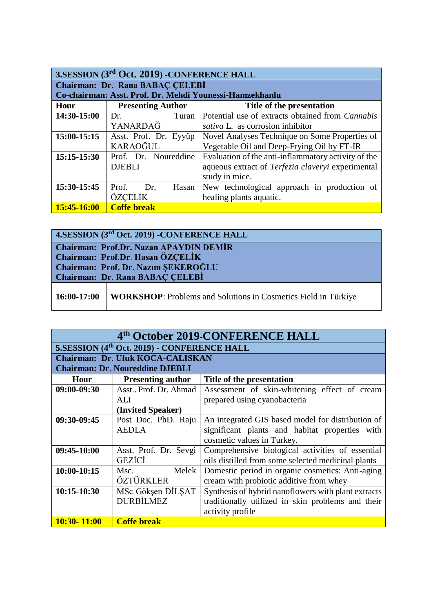| 3. SESSION (3rd Oct. 2019) - CONFERENCE HALL |                                                         |                                                     |  |  |  |
|----------------------------------------------|---------------------------------------------------------|-----------------------------------------------------|--|--|--|
|                                              | Chairman: Dr. Rana BABAÇ CELEBİ                         |                                                     |  |  |  |
|                                              | Co-chairman: Asst. Prof. Dr. Mehdi Younessi-Hamzekhanlu |                                                     |  |  |  |
| Hour                                         | <b>Presenting Author</b>                                | Title of the presentation                           |  |  |  |
| 14:30-15:00                                  | Turan<br>Dr.                                            | Potential use of extracts obtained from Cannabis    |  |  |  |
|                                              | YANARDAĞ                                                | sativa L. as corrosion inhibitor                    |  |  |  |
| 15:00-15:15                                  | Asst. Prof. Dr. Eyyüp                                   | Novel Analyses Technique on Some Properties of      |  |  |  |
|                                              | KARAOĞUL                                                | Vegetable Oil and Deep-Frying Oil by FT-IR          |  |  |  |
| 15:15-15:30                                  | Prof. Dr. Noureddine                                    | Evaluation of the anti-inflammatory activity of the |  |  |  |
|                                              | <b>DJEBLI</b>                                           | aqueous extract of Terfezia claveryi experimental   |  |  |  |
|                                              |                                                         | study in mice.                                      |  |  |  |
| 15:30-15:45                                  | Dr.<br>Prof.<br>Hasan                                   | New technological approach in production of         |  |  |  |
|                                              | ÖZCELİK                                                 | healing plants aquatic.                             |  |  |  |
| 15:45-16:00                                  | <b>Coffe break</b>                                      |                                                     |  |  |  |

|                                                                                   | 4.SESSION (3rd Oct. 2019) - CONFERENCE HALL                           |  |  |
|-----------------------------------------------------------------------------------|-----------------------------------------------------------------------|--|--|
| <b>Chairman: Prof.Dr. Nazan APAYDIN DEMIR</b><br>Chairman: Prof.Dr. Hasan ÖZÇELİK |                                                                       |  |  |
| Chairman: Prof. Dr. Nazım SEKEROĞLU<br><b>Chairman: Dr. Rana BABAC CELEBI</b>     |                                                                       |  |  |
| 16:00-17:00                                                                       | <b>WORKSHOP:</b> Problems and Solutions in Cosmetics Field in Türkiye |  |  |

| 4th October 2019-CONFERENCE HALL |                                                         |                                                     |  |  |  |
|----------------------------------|---------------------------------------------------------|-----------------------------------------------------|--|--|--|
|                                  | 5.SESSION (4 <sup>th</sup> Oct. 2019) - CONFERENCE HALL |                                                     |  |  |  |
|                                  | <b>Chairman: Dr. Ufuk KOCA-CALISKAN</b>                 |                                                     |  |  |  |
|                                  | <b>Chairman: Dr. Noureddine DJEBLI</b>                  |                                                     |  |  |  |
| Hour                             | <b>Presenting author</b>                                | Title of the presentation                           |  |  |  |
| 09:00-09:30                      | Asst., Prof. Dr. Ahmad                                  | Assessment of skin-whitening effect of cream        |  |  |  |
|                                  | ALI.                                                    | prepared using cyanobacteria                        |  |  |  |
|                                  | (Invited Speaker)                                       |                                                     |  |  |  |
| 09:30-09:45                      | Post Doc. PhD. Raju                                     | An integrated GIS based model for distribution of   |  |  |  |
|                                  | <b>AEDLA</b>                                            | significant plants and habitat properties with      |  |  |  |
|                                  |                                                         | cosmetic values in Turkey.                          |  |  |  |
| 09:45-10:00                      | Asst. Prof. Dr. Sevgi                                   | Comprehensive biological activities of essential    |  |  |  |
|                                  | <b>GEZICI</b>                                           | oils distilled from some selected medicinal plants  |  |  |  |
| 10:00-10:15                      | Melek<br>Msc.                                           | Domestic period in organic cosmetics: Anti-aging    |  |  |  |
|                                  | ÖZTÜRKLER                                               | cream with probiotic additive from whey             |  |  |  |
| 10:15-10:30                      | MSc Gökşen DİLŞAT                                       | Synthesis of hybrid nanoflowers with plant extracts |  |  |  |
|                                  | <b>DURBİLMEZ</b>                                        | traditionally utilized in skin problems and their   |  |  |  |
|                                  |                                                         | activity profile                                    |  |  |  |
| 10:30-11:00                      | <b>Coffe break</b>                                      |                                                     |  |  |  |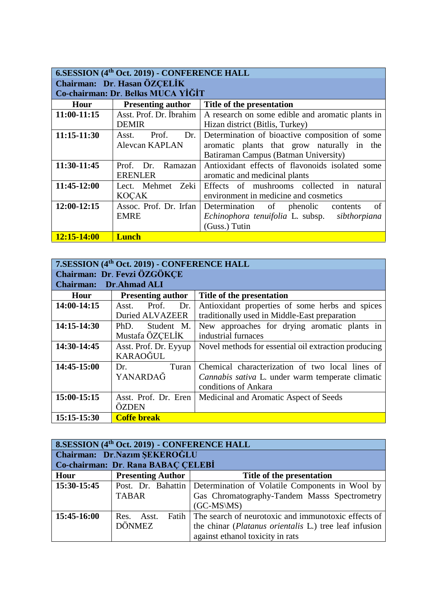| 6.SESSION (4 <sup>th</sup> Oct. 2019) - CONFERENCE HALL |                                    |                                                  |  |  |
|---------------------------------------------------------|------------------------------------|--------------------------------------------------|--|--|
| Chairman: Dr. Hasan ÖZCELİK                             |                                    |                                                  |  |  |
|                                                         | Co-chairman: Dr. Belkis MUCA YİĞİT |                                                  |  |  |
| Hour                                                    | <b>Presenting author</b>           | Title of the presentation                        |  |  |
| 11:00-11:15                                             | Asst. Prof. Dr. İbrahim            | A research on some edible and aromatic plants in |  |  |
|                                                         | <b>DEMIR</b>                       | Hizan district (Bitlis, Turkey)                  |  |  |
| 11:15-11:30                                             | Asst.<br>Prof.<br>Dr.              | Determination of bioactive composition of some   |  |  |
|                                                         | Alevcan KAPLAN                     | aromatic plants that grow naturally in the       |  |  |
|                                                         |                                    | Batiraman Campus (Batman University)             |  |  |
| 11:30-11:45                                             | Prof. Dr. Ramazan                  | Antioxidant effects of flavonoids isolated some  |  |  |
|                                                         | <b>ERENLER</b>                     | aromatic and medicinal plants                    |  |  |
| 11:45-12:00                                             | Lect. Mehmet Zeki                  | Effects of mushrooms collected in<br>natural     |  |  |
|                                                         | <b>KOCAK</b>                       | environment in medicine and cosmetics            |  |  |
| 12:00-12:15                                             | Assoc. Prof. Dr. Irfan             | Determination of phenolic contents<br>of         |  |  |
|                                                         | <b>EMRE</b>                        | Echinophora tenuifolia L. subsp. sibthorpiana    |  |  |
|                                                         |                                    | (Guss.) Tutin                                    |  |  |
| 12:15-14:00                                             | <b>Lunch</b>                       |                                                  |  |  |

| 7. SESSION (4 <sup>th</sup> Oct. 2019) - CONFERENCE HALL |                          |                                                      |  |
|----------------------------------------------------------|--------------------------|------------------------------------------------------|--|
| Chairman: Dr. Fevzi ÖZGÖKCE                              |                          |                                                      |  |
| <b>Chairman:</b>                                         | Dr.Ahmad ALI             |                                                      |  |
| Hour                                                     | <b>Presenting author</b> | Title of the presentation                            |  |
| 14:00-14:15                                              | Prof.<br>Asst.<br>Dr.    | Antioxidant properties of some herbs and spices      |  |
|                                                          | <b>Duried ALVAZEER</b>   | traditionally used in Middle-East preparation        |  |
| 14:15-14:30                                              | PhD. Student M.          | New approaches for drying aromatic plants in         |  |
|                                                          | Mustafa ÖZÇELİK          | industrial furnaces                                  |  |
| 14:30-14:45                                              | Asst. Prof. Dr. Eyyup    | Novel methods for essential oil extraction producing |  |
|                                                          | KARAOĞUL                 |                                                      |  |
| 14:45-15:00                                              | Turan<br>Dr.             | Chemical characterization of two local lines of      |  |
|                                                          | YANARDAĞ                 | Cannabis sativa L. under warm temperate climatic     |  |
|                                                          |                          | conditions of Ankara                                 |  |
| 15:00-15:15                                              | Asst. Prof. Dr. Eren     | Medicinal and Aromatic Aspect of Seeds               |  |
|                                                          | ÖZDEN                    |                                                      |  |
| 15:15-15:30                                              | <b>Coffe break</b>       |                                                      |  |

#### **8.SESSION (4 th Oct. 2019) - CONFERENCE HALL**

| Chairman: Dr.Nazım ŞEKEROĞLU<br>Co-chairman: Dr. Rana BABAC CELEBI |                          |                                                                      |  |
|--------------------------------------------------------------------|--------------------------|----------------------------------------------------------------------|--|
| Hour                                                               | <b>Presenting Author</b> | Title of the presentation                                            |  |
| 15:30-15:45                                                        |                          | Post. Dr. Bahattin   Determination of Volatile Components in Wool by |  |
|                                                                    | <b>TABAR</b>             | Gas Chromatography-Tandem Masss Spectrometry                         |  |
|                                                                    |                          | $(GC\text{-}MS\backslash MS)$                                        |  |
| 15:45-16:00                                                        | Res.<br>Asst.            | Fatih   The search of neurotoxic and immunotoxic effects of          |  |
|                                                                    | <b>DÖNMEZ</b>            | the chinar ( <i>Platanus orientalis</i> L.) tree leaf infusion       |  |
|                                                                    |                          | against ethanol toxicity in rats                                     |  |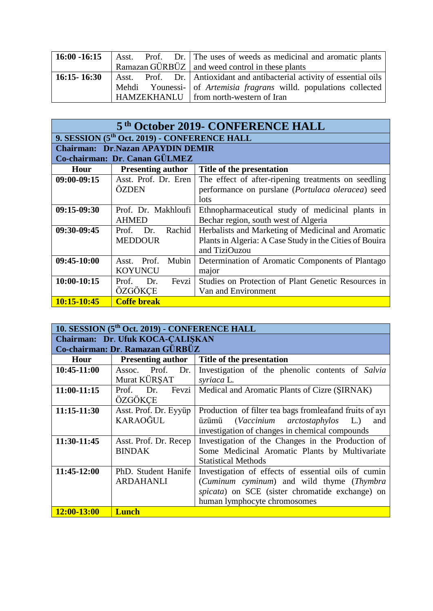| $16:00 - 16:15$ |  | Asst. Prof. Dr. The uses of weeds as medicinal and aromatic plants       |
|-----------------|--|--------------------------------------------------------------------------|
|                 |  | Ramazan $G\ddot{U}RB\ddot{U}Z$ and weed control in these plants          |
| $16:15 - 16:30$ |  | Asst. Prof. Dr. Antioxidant and antibacterial activity of essential oils |
|                 |  | Mehdi Younessi- of Artemisia fragrans willd. populations collected       |
|                 |  | HAMZEKHANLU   from north-western of Iran                                 |

| 5 <sup>th</sup> October 2019- CONFERENCE HALL |                                                          |                                                         |  |  |
|-----------------------------------------------|----------------------------------------------------------|---------------------------------------------------------|--|--|
|                                               | 9. SESSION (5 <sup>th</sup> Oct. 2019) - CONFERENCE HALL |                                                         |  |  |
|                                               | <b>Chairman: Dr.Nazan APAYDIN DEMIR</b>                  |                                                         |  |  |
|                                               | Co-chairman: Dr. Canan GÜLMEZ                            |                                                         |  |  |
| Hour                                          | <b>Presenting author</b>                                 | Title of the presentation                               |  |  |
| $09:00-09:15$                                 | Asst. Prof. Dr. Eren                                     | The effect of after-ripening treatments on seedling     |  |  |
|                                               | <b>OZDEN</b>                                             | performance on purslane (Portulaca oleracea) seed       |  |  |
|                                               |                                                          | lots                                                    |  |  |
| $09:15-09:30$                                 | Prof. Dr. Makhloufi                                      | Ethnopharmaceutical study of medicinal plants in        |  |  |
|                                               | <b>AHMED</b>                                             | Bechar region, south west of Algeria                    |  |  |
| 09:30-09:45                                   | Rachid<br>Prof. Dr.                                      | Herbalists and Marketing of Medicinal and Aromatic      |  |  |
|                                               | <b>MEDDOUR</b>                                           | Plants in Algeria: A Case Study in the Cities of Bouira |  |  |
|                                               |                                                          | and TiziOuzou                                           |  |  |
| $09:45-10:00$                                 | Asst. Prof.<br>Mubin                                     | Determination of Aromatic Components of Plantago        |  |  |
|                                               | <b>KOYUNCU</b>                                           | major                                                   |  |  |
| $10:00-10:15$                                 | Fevzi<br>Prof.<br>Dr.                                    | Studies on Protection of Plant Genetic Resources in     |  |  |
|                                               | ÖZGÖKCE                                                  | Van and Environment                                     |  |  |
| 10:15-10:45                                   | <b>Coffe break</b>                                       |                                                         |  |  |

| 10. SESSION (5 <sup>th</sup> Oct. 2019) - CONFERENCE HALL |                                 |                                                          |  |  |
|-----------------------------------------------------------|---------------------------------|----------------------------------------------------------|--|--|
| Chairman: Dr. Ufuk KOCA-CALISKAN                          |                                 |                                                          |  |  |
|                                                           | Co-chairman: Dr. Ramazan GÜRBÜZ |                                                          |  |  |
| Hour                                                      | <b>Presenting author</b>        | Title of the presentation                                |  |  |
| 10:45-11:00                                               | Assoc. Prof. Dr.                | Investigation of the phenolic contents of Salvia         |  |  |
|                                                           | Murat KÜRSAT                    | syriaca L.                                               |  |  |
| 11:00-11:15                                               | Prof. Dr.<br>Fevzi              | Medical and Aromatic Plants of Cizre (SIRNAK)            |  |  |
|                                                           | ÖZGÖKCE                         |                                                          |  |  |
| 11:15-11:30                                               | Asst. Prof. Dr. Eyyüp           | Production of filter tea bags from leaf and fruits of ay |  |  |
|                                                           | <b>KARAOĞUL</b>                 | (Vaccinium arctostaphylos<br>L)<br>üzümü<br>and          |  |  |
|                                                           |                                 | investigation of changes in chemical compounds           |  |  |
| 11:30-11:45                                               | Asst. Prof. Dr. Recep           | Investigation of the Changes in the Production of        |  |  |
|                                                           | <b>BINDAK</b>                   | Some Medicinal Aromatic Plants by Multivariate           |  |  |
|                                                           |                                 | <b>Statistical Methods</b>                               |  |  |
| 11:45-12:00                                               | PhD. Student Hanife             | Investigation of effects of essential oils of cumin      |  |  |
|                                                           | <b>ARDAHANLI</b>                | (Cuminum cyminum) and wild thyme (Thymbra                |  |  |
|                                                           |                                 | spicata) on SCE (sister chromatide exchange) on          |  |  |
|                                                           |                                 | human lymphocyte chromosomes                             |  |  |
| 12:00-13:00                                               | <b>Lunch</b>                    |                                                          |  |  |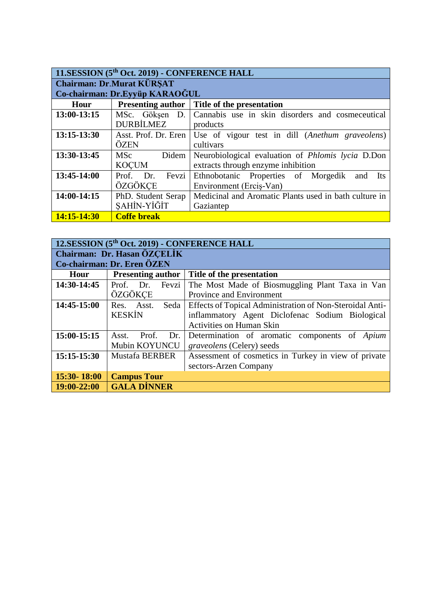| 11.SESSION (5 <sup>th</sup> Oct. 2019) - CONFERENCE HALL |                          |                                                                        |  |  |
|----------------------------------------------------------|--------------------------|------------------------------------------------------------------------|--|--|
| <b>Chairman: Dr.Murat KÜRSAT</b>                         |                          |                                                                        |  |  |
| Co-chairman: Dr.Eyyüp KARAOĞUL                           |                          |                                                                        |  |  |
| Hour                                                     | <b>Presenting author</b> | Title of the presentation                                              |  |  |
| $13:00-13:15$                                            | MSc. Göksen D.           | Cannabis use in skin disorders and cosmeceutical                       |  |  |
|                                                          | <b>DURBİLMEZ</b>         | products                                                               |  |  |
| 13:15-13:30                                              |                          | Asst. Prof. Dr. Eren   Use of vigour test in dill (Anethum graveolens) |  |  |
|                                                          | ÖZEN                     | cultivars                                                              |  |  |
| 13:30-13:45                                              | Didem<br>MSc             | Neurobiological evaluation of <i>Phlomis lycia</i> D.Don               |  |  |
|                                                          | <b>KOÇUM</b>             | extracts through enzyme inhibition                                     |  |  |
| 13:45-14:00                                              | Prof. Dr. Fevzi          | Ethnobotanic Properties of Morgedik<br><b>Its</b><br>and               |  |  |
|                                                          | ÖZGÖKCE                  | Environment (Ercis-Van)                                                |  |  |
| 14:00-14:15                                              | PhD. Student Serap       | Medicinal and Aromatic Plants used in bath culture in                  |  |  |
|                                                          | SAHİN-YİĞİT              | Gaziantep                                                              |  |  |
| $14:15 - 14:30$                                          | <b>Coffe break</b>       |                                                                        |  |  |

#### **12.SESSION (5th Oct. 2019) - CONFERENCE HALL Chairman: Dr. Hasan ÖZÇELİK**

| Co-chairman: Dr. Eren ÖZEN |                          |                                                          |  |
|----------------------------|--------------------------|----------------------------------------------------------|--|
| Hour                       | <b>Presenting author</b> | Title of the presentation                                |  |
| 14:30-14:45                | Fevzi<br>Prof. Dr.       | The Most Made of Biosmuggling Plant Taxa in Van          |  |
|                            | ÖZGÖKCE                  | Province and Environment                                 |  |
| 14:45-15:00                | Asst.<br>Seda<br>Res.    | Effects of Topical Administration of Non-Steroidal Anti- |  |
|                            | <b>KESKİN</b>            | inflammatory Agent Diclofenac Sodium Biological          |  |
|                            |                          | <b>Activities on Human Skin</b>                          |  |
| 15:00-15:15                | Prof.<br>Asst.<br>Dr. 1  | Determination of aromatic components of<br>Apium         |  |
|                            | Mubin KOYUNCU            | graveolens (Celery) seeds                                |  |
| 15:15-15:30                | <b>Mustafa BERBER</b>    | Assessment of cosmetics in Turkey in view of private     |  |
|                            |                          | sectors-Arzen Company                                    |  |
| $15:30 - 18:00$            | <b>Campus Tour</b>       |                                                          |  |
| $19:00-22:00$              | <b>GALA DİNNER</b>       |                                                          |  |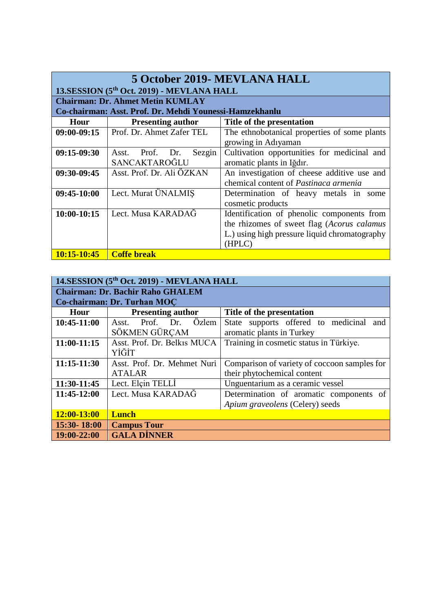| 5 October 2019- MEVLANA HALL                            |                           |                                               |  |  |  |
|---------------------------------------------------------|---------------------------|-----------------------------------------------|--|--|--|
| 13.SESSION (5 <sup>th</sup> Oct. 2019) - MEVLANA HALL   |                           |                                               |  |  |  |
| <b>Chairman: Dr. Ahmet Metin KUMLAY</b>                 |                           |                                               |  |  |  |
| Co-chairman: Asst. Prof. Dr. Mehdi Younessi-Hamzekhanlu |                           |                                               |  |  |  |
| Hour                                                    | <b>Presenting author</b>  | Title of the presentation                     |  |  |  |
| $09:00-09:15$                                           | Prof. Dr. Ahmet Zafer TEL | The ethnobotanical properties of some plants  |  |  |  |
|                                                         |                           | growing in Adıyaman                           |  |  |  |
| 09:15-09:30                                             | Asst. Prof. Dr.<br>Sezgin | Cultivation opportunities for medicinal and   |  |  |  |
|                                                         | SANCAKTAROĞLU             | aromatic plants in Iğdır.                     |  |  |  |
| 09:30-09:45                                             | Asst. Prof. Dr. Ali ÖZKAN | An investigation of cheese additive use and   |  |  |  |
|                                                         |                           | chemical content of <i>Pastinaca armenia</i>  |  |  |  |
| 09:45-10:00                                             | Lect. Murat ÜNALMIŞ       | Determination of heavy metals in some         |  |  |  |
|                                                         |                           | cosmetic products                             |  |  |  |
| 10:00-10:15                                             | Lect. Musa KARADAĞ        | Identification of phenolic components from    |  |  |  |
|                                                         |                           | the rhizomes of sweet flag (Acorus calamus    |  |  |  |
|                                                         |                           | L.) using high pressure liquid chromatography |  |  |  |
|                                                         |                           | (HPLC)                                        |  |  |  |
| 10:15-10:45                                             | Coffe break               |                                               |  |  |  |

#### **14.SESSION (5th Oct. 2019) - MEVLANA HALL Chairman: Dr. Bachir Raho GHALEM**

| Co-chairman: Dr. Turhan MOC |                                |                                              |  |  |
|-----------------------------|--------------------------------|----------------------------------------------|--|--|
| Hour                        | <b>Presenting author</b>       | Title of the presentation                    |  |  |
| 10:45-11:00                 | Özlem<br>Prof.<br>Asst.<br>Dr. | State supports offered to medicinal<br>and   |  |  |
|                             | SÖKMEN GÜRÇAM                  | aromatic plants in Turkey                    |  |  |
| 11:00-11:15                 | Asst. Prof. Dr. Belkis MUCA    | Training in cosmetic status in Türkiye.      |  |  |
|                             | YİĞİT                          |                                              |  |  |
| 11:15-11:30                 | Asst. Prof. Dr. Mehmet Nuri    | Comparison of variety of coccoon samples for |  |  |
|                             | <b>ATALAR</b>                  | their phytochemical content                  |  |  |
| 11:30-11:45                 | Lect. Elçin TELLİ              | Unguentarium as a ceramic vessel             |  |  |
| 11:45-12:00                 | Lect. Musa KARADAĞ             | Determination of aromatic components of      |  |  |
|                             |                                | Apium graveolens (Celery) seeds              |  |  |
| 12:00-13:00                 | <b>Lunch</b>                   |                                              |  |  |
| 15:30-18:00                 | <b>Campus Tour</b>             |                                              |  |  |
| 19:00-22:00                 | <b>GALA DINNER</b>             |                                              |  |  |